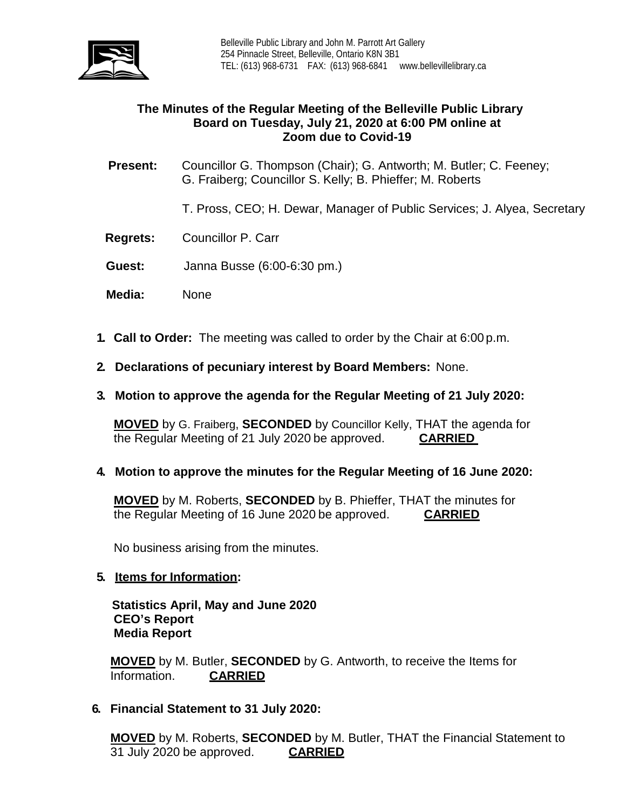

# **The Minutes of the Regular Meeting of the Belleville Public Library Board on Tuesday, July 21, 2020 at 6:00 PM online at Zoom due to Covid-19**

- **Present:** Councillor G. Thompson (Chair); G. Antworth; M. Butler; C. Feeney; G. Fraiberg; Councillor S. Kelly; B. Phieffer; M. Roberts
	- T. Pross, CEO; H. Dewar, Manager of Public Services; J. Alyea, Secretary
- **Regrets:** Councillor P. Carr
- **Guest:** Janna Busse (6:00-6:30 pm.)
- **Media:** None
- **1. Call to Order:** The meeting was called to order by the Chair at 6:00 p.m.
- **2. Declarations of pecuniary interest by Board Members:** None.
- **3. Motion to approve the agenda for the Regular Meeting of 21 July 2020:**

**MOVED** by G. Fraiberg, **SECONDED** by Councillor Kelly, THAT the agenda for the Regular Meeting of 21 July 2020 be approved. **CARRIED**

## **4. Motion to approve the minutes for the Regular Meeting of 16 June 2020:**

**MOVED** by M. Roberts, **SECONDED** by B. Phieffer, THAT the minutes for the Regular Meeting of 16 June 2020 be approved. **CARRIED**

No business arising from the minutes.

#### **5. Items for Information:**

 **Statistics April, May and June 2020 CEO's Report Media Report**

**MOVED** by M. Butler, **SECONDED** by G. Antworth, to receive the Items for Information.

## **6. Financial Statement to 31 July 2020:**

**MOVED** by M. Roberts, **SECONDED** by M. Butler, THAT the Financial Statement to 31 July 2020 be approved. **CARRIED**